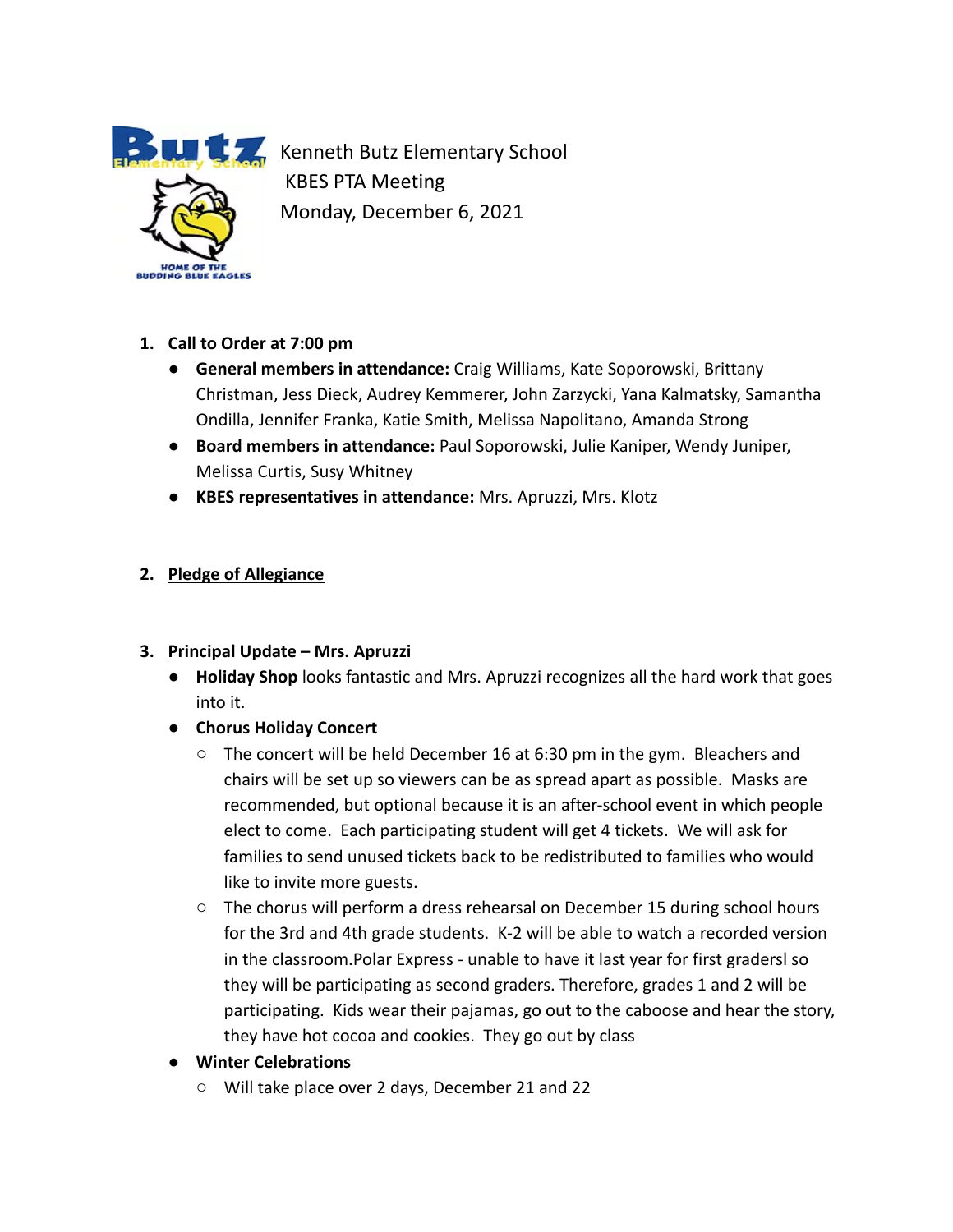

**Kenneth Butz Elementary School** KBES PTA Meeting Monday, December 6, 2021

# **1. Call to Order at 7:00 pm**

- **General members in attendance:** Craig Williams, Kate Soporowski, Brittany Christman, Jess Dieck, Audrey Kemmerer, John Zarzycki, Yana Kalmatsky, Samantha Ondilla, Jennifer Franka, Katie Smith, Melissa Napolitano, Amanda Strong
- **Board members in attendance:** Paul Soporowski, Julie Kaniper, Wendy Juniper, Melissa Curtis, Susy Whitney
- **KBES representatives in attendance:** Mrs. Apruzzi, Mrs. Klotz

# **2. Pledge of Allegiance**

# **3. Principal Update – Mrs. Apruzzi**

- **Holiday Shop** looks fantastic and Mrs. Apruzzi recognizes all the hard work that goes into it.
- **● Chorus Holiday Concert**
	- $\circ$  The concert will be held December 16 at 6:30 pm in the gym. Bleachers and chairs will be set up so viewers can be as spread apart as possible. Masks are recommended, but optional because it is an after-school event in which people elect to come. Each participating student will get 4 tickets. We will ask for families to send unused tickets back to be redistributed to families who would like to invite more guests.
	- The chorus will perform a dress rehearsal on December 15 during school hours for the 3rd and 4th grade students. K-2 will be able to watch a recorded version in the classroom.Polar Express - unable to have it last year for first gradersl so they will be participating as second graders. Therefore, grades 1 and 2 will be participating. Kids wear their pajamas, go out to the caboose and hear the story, they have hot cocoa and cookies. They go out by class
- **● Winter Celebrations**
	- Will take place over 2 days, December 21 and 22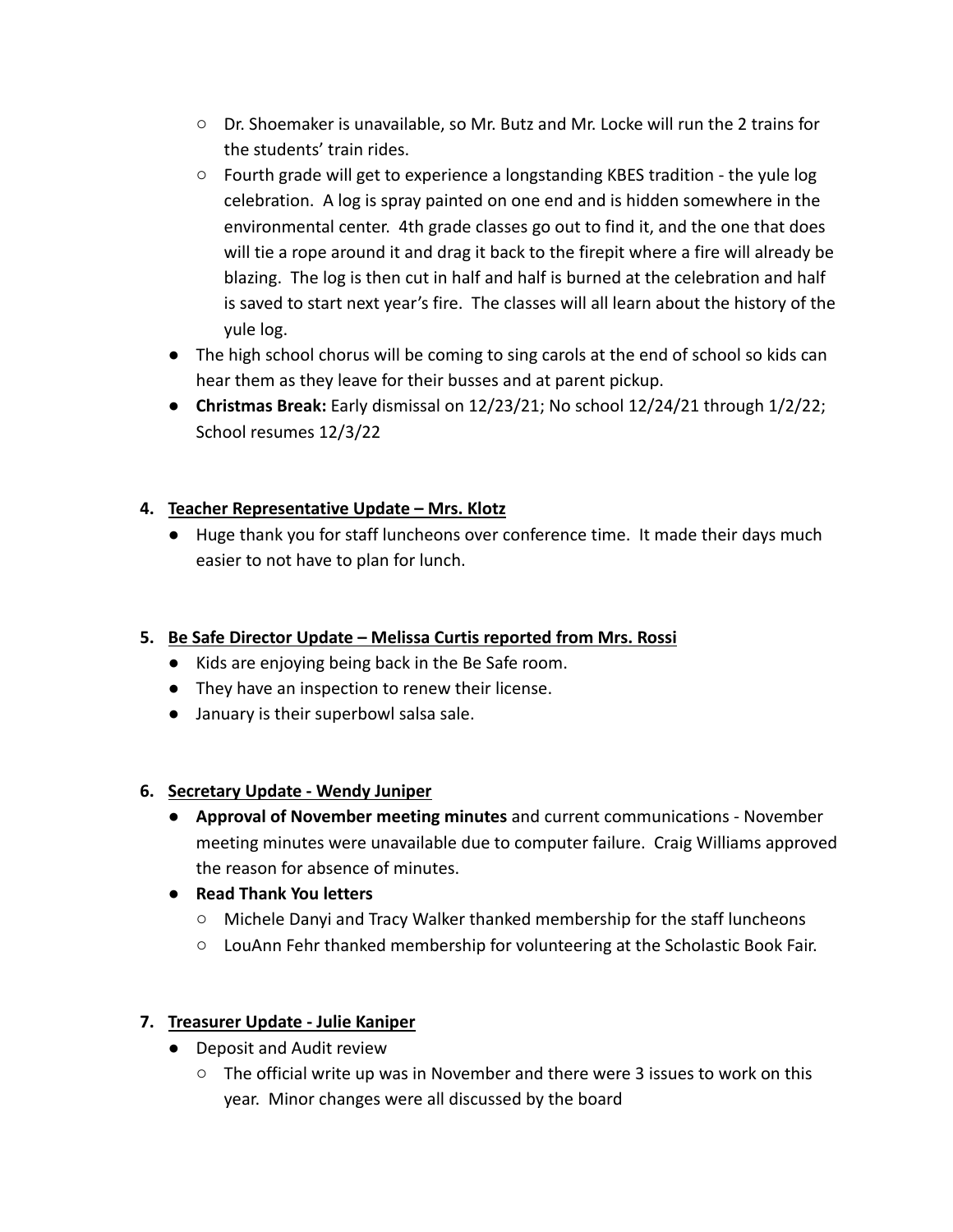- Dr. Shoemaker is unavailable, so Mr. Butz and Mr. Locke will run the 2 trains for the students' train rides.
- $\circ$  Fourth grade will get to experience a longstanding KBES tradition the yule log celebration. A log is spray painted on one end and is hidden somewhere in the environmental center. 4th grade classes go out to find it, and the one that does will tie a rope around it and drag it back to the firepit where a fire will already be blazing. The log is then cut in half and half is burned at the celebration and half is saved to start next year's fire. The classes will all learn about the history of the yule log.
- The high school chorus will be coming to sing carols at the end of school so kids can hear them as they leave for their busses and at parent pickup.
- **Christmas Break:** Early dismissal on 12/23/21; No school 12/24/21 through 1/2/22; School resumes 12/3/22

## **4. Teacher Representative Update – Mrs. Klotz**

● Huge thank you for staff luncheons over conference time. It made their days much easier to not have to plan for lunch.

### **5. Be Safe Director Update – Melissa Curtis reported from Mrs. Rossi**

- Kids are enjoying being back in the Be Safe room.
- They have an inspection to renew their license.
- January is their superbowl salsa sale.

### **6. Secretary Update - Wendy Juniper**

- **Approval of November meeting minutes** and current communications November meeting minutes were unavailable due to computer failure. Craig Williams approved the reason for absence of minutes.
- **● Read Thank You letters**
	- Michele Danyi and Tracy Walker thanked membership for the staff luncheons
	- LouAnn Fehr thanked membership for volunteering at the Scholastic Book Fair.

### **7. Treasurer Update - Julie Kaniper**

- Deposit and Audit review
	- The official write up was in November and there were 3 issues to work on this year. Minor changes were all discussed by the board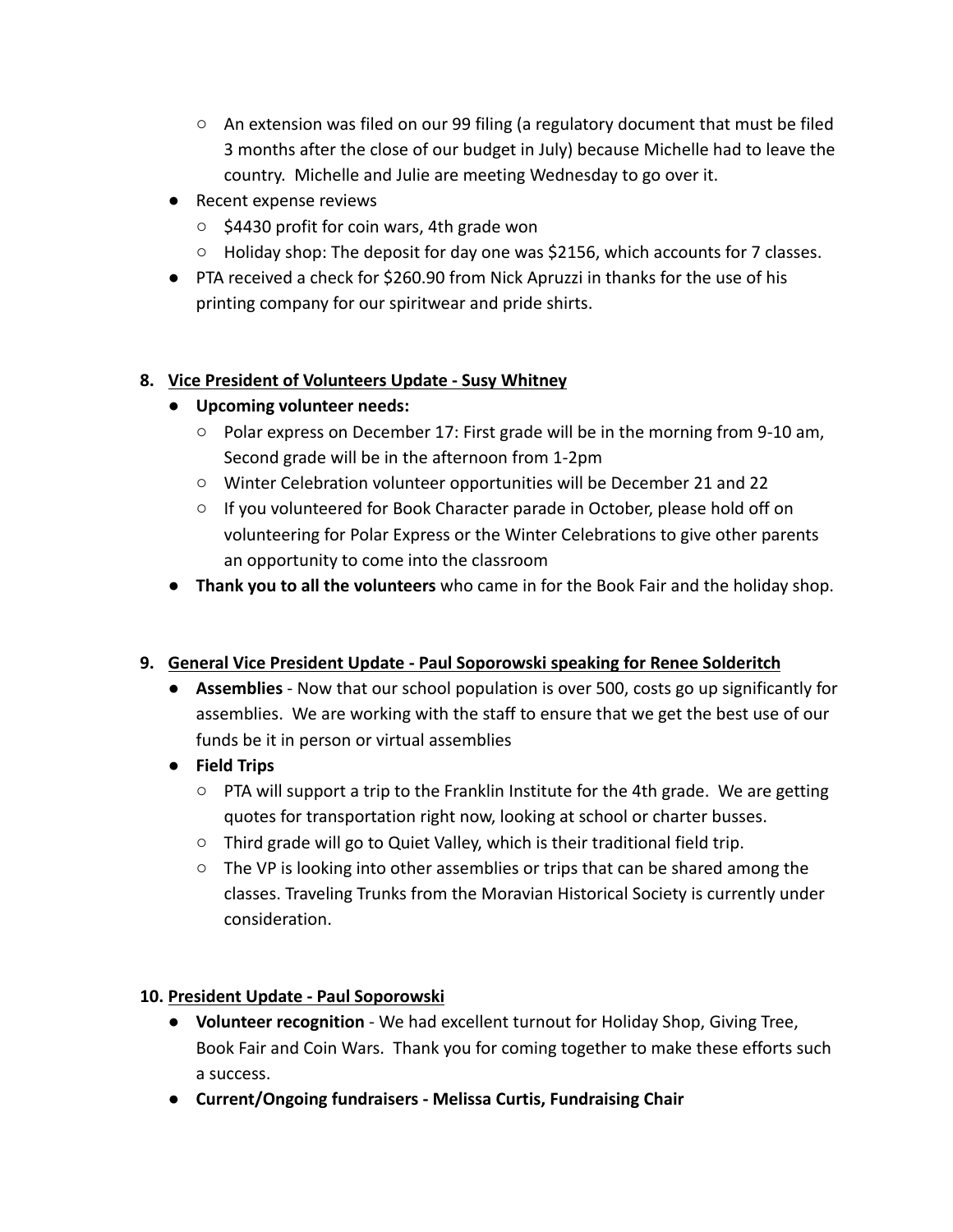- $\circ$  An extension was filed on our 99 filing (a regulatory document that must be filed 3 months after the close of our budget in July) because Michelle had to leave the country. Michelle and Julie are meeting Wednesday to go over it.
- Recent expense reviews
	- \$4430 profit for coin wars, 4th grade won
	- Holiday shop: The deposit for day one was \$2156, which accounts for 7 classes.
- PTA received a check for \$260.90 from Nick Apruzzi in thanks for the use of his printing company for our spiritwear and pride shirts.

# **8. Vice President of Volunteers Update - Susy Whitney**

- **● Upcoming volunteer needs:**
	- Polar express on December 17: First grade will be in the morning from 9-10 am, Second grade will be in the afternoon from 1-2pm
	- Winter Celebration volunteer opportunities will be December 21 and 22
	- If you volunteered for Book Character parade in October, please hold off on volunteering for Polar Express or the Winter Celebrations to give other parents an opportunity to come into the classroom
- **Thank you to all the volunteers** who came in for the Book Fair and the holiday shop.

## **9. General Vice President Update - Paul Soporowski speaking for Renee Solderitch**

- **Assemblies** Now that our school population is over 500, costs go up significantly for assemblies. We are working with the staff to ensure that we get the best use of our funds be it in person or virtual assemblies
- **● Field Trips**
	- $\circ$  PTA will support a trip to the Franklin Institute for the 4th grade. We are getting quotes for transportation right now, looking at school or charter busses.
	- Third grade will go to Quiet Valley, which is their traditional field trip.
	- $\circ$  The VP is looking into other assemblies or trips that can be shared among the classes. Traveling Trunks from the Moravian Historical Society is currently under consideration.

## **10. President Update - Paul Soporowski**

- **Volunteer recognition** We had excellent turnout for Holiday Shop, Giving Tree, Book Fair and Coin Wars. Thank you for coming together to make these efforts such a success.
- **● Current/Ongoing fundraisers Melissa Curtis, Fundraising Chair**